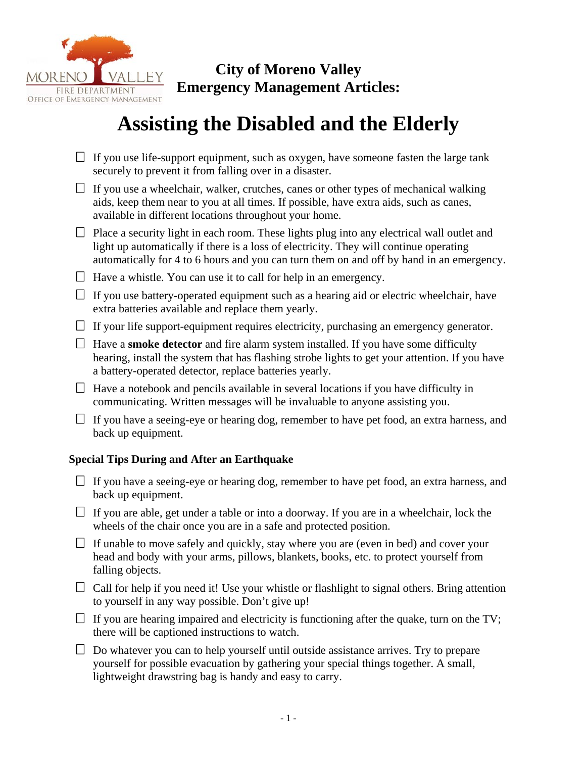

## **City of Moreno Valley Emergency Management Articles:**

# OFFICE OF EMERGENCY MANAGEMENT<br>**Assisting the Disabled and the Elderly**

- $\Box$  If you use life-support equipment, such as oxygen, have someone fasten the large tank securely to prevent it from falling over in a disaster.
- $\Box$  If you use a wheelchair, walker, crutches, canes or other types of mechanical walking aids, keep them near to you at all times. If possible, have extra aids, such as canes, available in different locations throughout your home.
- $\Box$  Place a security light in each room. These lights plug into any electrical wall outlet and light up automatically if there is a loss of electricity. They will continue operating automatically for 4 to 6 hours and you can turn them on and off by hand in an emergency.
- $\Box$  Have a whistle. You can use it to call for help in an emergency.
- $\Box$  If you use battery-operated equipment such as a hearing aid or electric wheelchair, have extra batteries available and replace them yearly.
- $\Box$  If your life support-equipment requires electricity, purchasing an emergency generator.
- $\Box$  Have a **smoke detector** and fire alarm system installed. If you have some difficulty hearing, install the system that has flashing strobe lights to get your attention. If you have a battery-operated detector, replace batteries yearly.
- $\Box$  Have a notebook and pencils available in several locations if you have difficulty in communicating. Written messages will be invaluable to anyone assisting you.
- $\Box$  If you have a seeing-eye or hearing dog, remember to have pet food, an extra harness, and back up equipment.

#### **Special Tips During and After an Earthquake**

- $\Box$  If you have a seeing-eye or hearing dog, remember to have pet food, an extra harness, and back up equipment.
- $\Box$  If you are able, get under a table or into a doorway. If you are in a wheelchair, lock the wheels of the chair once you are in a safe and protected position.
- $\Box$  If unable to move safely and quickly, stay where you are (even in bed) and cover your head and body with your arms, pillows, blankets, books, etc. to protect yourself from falling objects.
- $\Box$  Call for help if you need it! Use your whistle or flashlight to signal others. Bring attention to yourself in any way possible. Don't give up!
- $\Box$  If you are hearing impaired and electricity is functioning after the quake, turn on the TV; there will be captioned instructions to watch.
- $\Box$  Do whatever you can to help yourself until outside assistance arrives. Try to prepare yourself for possible evacuation by gathering your special things together. A small, lightweight drawstring bag is handy and easy to carry.